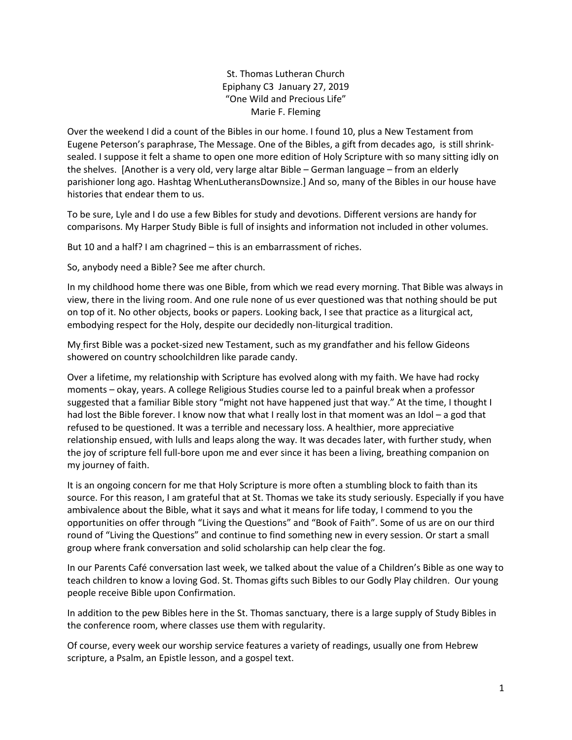St. Thomas Lutheran Church Epiphany C3 January 27, 2019 "One Wild and Precious Life" Marie F. Fleming

Over the weekend I did a count of the Bibles in our home. I found 10, plus a New Testament from Eugene Peterson's paraphrase, The Message. One of the Bibles, a gift from decades ago, is still shrinksealed. I suppose it felt a shame to open one more edition of Holy Scripture with so many sitting idly on the shelves. [Another is a very old, very large altar Bible – German language – from an elderly parishioner long ago. Hashtag WhenLutheransDownsize.] And so, many of the Bibles in our house have histories that endear them to us.

To be sure, Lyle and I do use a few Bibles for study and devotions. Different versions are handy for comparisons. My Harper Study Bible is full of insights and information not included in other volumes.

But 10 and a half? I am chagrined – this is an embarrassment of riches.

So, anybody need a Bible? See me after church.

In my childhood home there was one Bible, from which we read every morning. That Bible was always in view, there in the living room. And one rule none of us ever questioned was that nothing should be put on top of it. No other objects, books or papers. Looking back, I see that practice as a liturgical act, embodying respect for the Holy, despite our decidedly non-liturgical tradition.

My first Bible was a pocket-sized new Testament, such as my grandfather and his fellow Gideons showered on country schoolchildren like parade candy.

Over a lifetime, my relationship with Scripture has evolved along with my faith. We have had rocky moments – okay, years. A college Religious Studies course led to a painful break when a professor suggested that a familiar Bible story "might not have happened just that way." At the time, I thought I had lost the Bible forever. I know now that what I really lost in that moment was an Idol - a god that refused to be questioned. It was a terrible and necessary loss. A healthier, more appreciative relationship ensued, with lulls and leaps along the way. It was decades later, with further study, when the joy of scripture fell full-bore upon me and ever since it has been a living, breathing companion on my journey of faith.

It is an ongoing concern for me that Holy Scripture is more often a stumbling block to faith than its source. For this reason, I am grateful that at St. Thomas we take its study seriously. Especially if you have ambivalence about the Bible, what it says and what it means for life today, I commend to you the opportunities on offer through "Living the Questions" and "Book of Faith". Some of us are on our third round of "Living the Questions" and continue to find something new in every session. Or start a small group where frank conversation and solid scholarship can help clear the fog.

In our Parents Café conversation last week, we talked about the value of a Children's Bible as one way to teach children to know a loving God. St. Thomas gifts such Bibles to our Godly Play children. Our young people receive Bible upon Confirmation.

In addition to the pew Bibles here in the St. Thomas sanctuary, there is a large supply of Study Bibles in the conference room, where classes use them with regularity.

Of course, every week our worship service features a variety of readings, usually one from Hebrew scripture, a Psalm, an Epistle lesson, and a gospel text.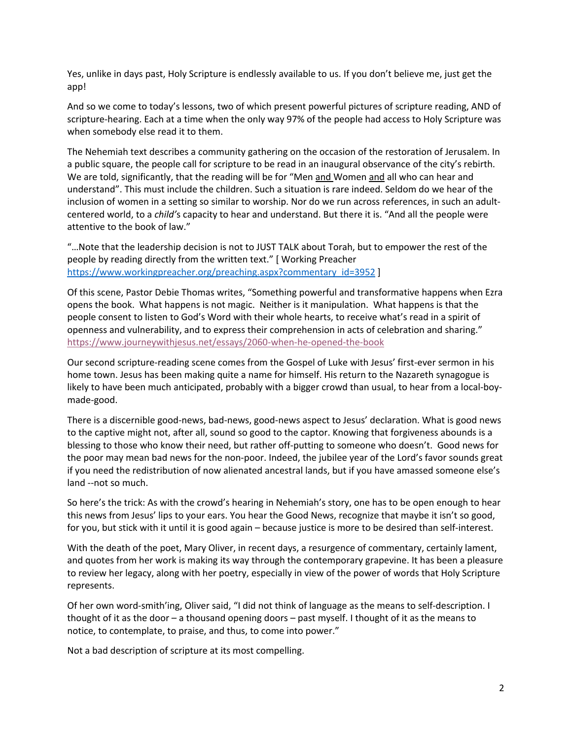Yes, unlike in days past, Holy Scripture is endlessly available to us. If you don't believe me, just get the app!

And so we come to today's lessons, two of which present powerful pictures of scripture reading, AND of scripture-hearing. Each at a time when the only way 97% of the people had access to Holy Scripture was when somebody else read it to them.

The Nehemiah text describes a community gathering on the occasion of the restoration of Jerusalem. In a public square, the people call for scripture to be read in an inaugural observance of the city's rebirth. We are told, significantly, that the reading will be for "Men and Women and all who can hear and understand". This must include the children. Such a situation is rare indeed. Seldom do we hear of the inclusion of women in a setting so similar to worship. Nor do we run across references, in such an adultcentered world, to a *child'*s capacity to hear and understand. But there it is. "And all the people were attentive to the book of law."

"…Note that the leadership decision is not to JUST TALK about Torah, but to empower the rest of the people by reading directly from the written text." [ Working Preacher https://www.workingpreacher.org/preaching.aspx?commentary\_id=3952 ]

Of this scene, Pastor Debie Thomas writes, "Something powerful and transformative happens when Ezra opens the book. What happens is not magic. Neither is it manipulation. What happens is that the people consent to listen to God's Word with their whole hearts, to receive what's read in a spirit of openness and vulnerability, and to express their comprehension in acts of celebration and sharing." https://www.journeywithjesus.net/essays/2060-when-he-opened-the-book

Our second scripture-reading scene comes from the Gospel of Luke with Jesus' first-ever sermon in his home town. Jesus has been making quite a name for himself. His return to the Nazareth synagogue is likely to have been much anticipated, probably with a bigger crowd than usual, to hear from a local-boymade-good.

There is a discernible good-news, bad-news, good-news aspect to Jesus' declaration. What is good news to the captive might not, after all, sound so good to the captor. Knowing that forgiveness abounds is a blessing to those who know their need, but rather off-putting to someone who doesn't. Good news for the poor may mean bad news for the non-poor. Indeed, the jubilee year of the Lord's favor sounds great if you need the redistribution of now alienated ancestral lands, but if you have amassed someone else's land --not so much.

So here's the trick: As with the crowd's hearing in Nehemiah's story, one has to be open enough to hear this news from Jesus' lips to your ears. You hear the Good News, recognize that maybe it isn't so good, for you, but stick with it until it is good again – because justice is more to be desired than self-interest.

With the death of the poet, Mary Oliver, in recent days, a resurgence of commentary, certainly lament, and quotes from her work is making its way through the contemporary grapevine. It has been a pleasure to review her legacy, along with her poetry, especially in view of the power of words that Holy Scripture represents.

Of her own word-smith'ing, Oliver said, "I did not think of language as the means to self-description. I thought of it as the door – a thousand opening doors – past myself. I thought of it as the means to notice, to contemplate, to praise, and thus, to come into power."

Not a bad description of scripture at its most compelling.